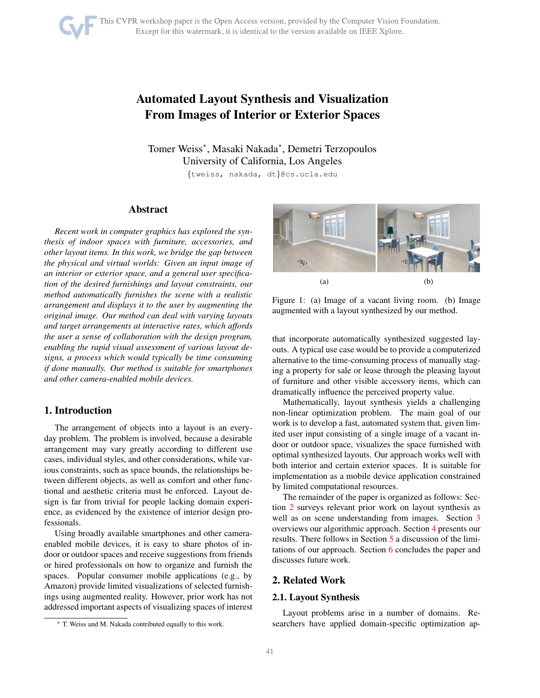# Automated Layout Synthesis and Visualization From Images of Interior or Exterior Spaces

Tomer Weiss<sup>∗</sup> , Masaki Nakada<sup>∗</sup> , Demetri Terzopoulos University of California, Los Angeles

{tweiss, nakada, dt}@cs.ucla.edu

# Abstract

*Recent work in computer graphics has explored the synthesis of indoor spaces with furniture, accessories, and other layout items. In this work, we bridge the gap between the physical and virtual worlds: Given an input image of an interior or exterior space, and a general user specification of the desired furnishings and layout constraints, our method automatically furnishes the scene with a realistic arrangement and displays it to the user by augmenting the original image. Our method can deal with varying layouts and target arrangements at interactive rates, which affords the user a sense of collaboration with the design program, enabling the rapid visual assessment of various layout designs, a process which would typically be time consuming if done manually. Our method is suitable for smartphones and other camera-enabled mobile devices.*

## 1. Introduction

The arrangement of objects into a layout is an everyday problem. The problem is involved, because a desirable arrangement may vary greatly according to different use cases, individual styles, and other considerations, while various constraints, such as space bounds, the relationships between different objects, as well as comfort and other functional and aesthetic criteria must be enforced. Layout design is far from trivial for people lacking domain experience, as evidenced by the existence of interior design professionals.

Using broadly available smartphones and other cameraenabled mobile devices, it is easy to share photos of indoor or outdoor spaces and receive suggestions from friends or hired professionals on how to organize and furnish the spaces. Popular consumer mobile applications (e.g., by Amazon) provide limited visualizations of selected furnishings using augmented reality. However, prior work has not addressed important aspects of visualizing spaces of interest

<span id="page-0-1"></span>

Figure 1: (a) Image of a vacant living room. (b) Image augmented with a layout synthesized by our method.

that incorporate automatically synthesized suggested layouts. A typical use case would be to provide a computerized alternative to the time-consuming process of manually staging a property for sale or lease through the pleasing layout of furniture and other visible accessory items, which can dramatically influence the perceived property value.

Mathematically, layout synthesis yields a challenging non-linear optimization problem. The main goal of our work is to develop a fast, automated system that, given limited user input consisting of a single image of a vacant indoor or outdoor space, visualizes the space furnished with optimal synthesized layouts. Our approach works well with both interior and certain exterior spaces. It is suitable for implementation as a mobile device application constrained by limited computational resources.

The remainder of the paper is organized as follows: Section [2](#page-0-0) surveys relevant prior work on layout synthesis as well as on scene understanding from images. Section [3](#page-2-0) overviews our algorithmic approach. Section [4](#page-3-0) presents our results. There follows in Section [5](#page-4-0) a discussion of the limitations of our approach. Section [6](#page-4-1) concludes the paper and discusses future work.

### <span id="page-0-0"></span>2. Related Work

#### 2.1. Layout Synthesis

Layout problems arise in a number of domains. Researchers have applied domain-specific optimization ap-

<sup>∗</sup> T. Weiss and M. Nakada contributed equally to this work.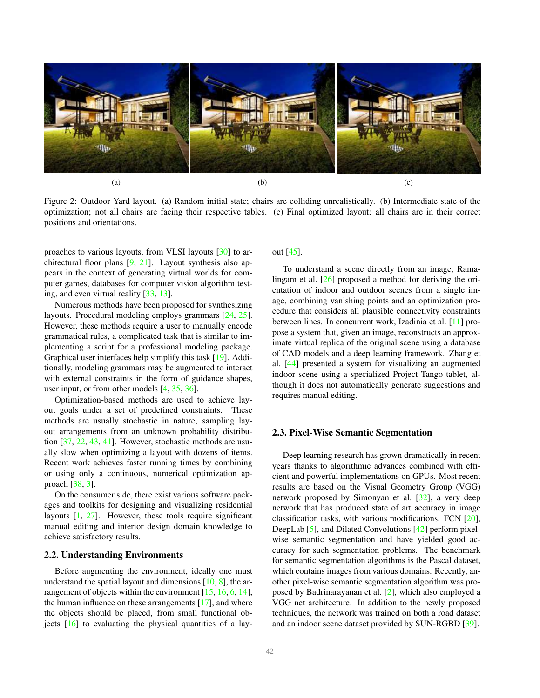<span id="page-1-1"></span><span id="page-1-0"></span>

Figure 2: Outdoor Yard layout. (a) Random initial state; chairs are colliding unrealistically. (b) Intermediate state of the optimization; not all chairs are facing their respective tables. (c) Final optimized layout; all chairs are in their correct positions and orientations.

proaches to various layouts, from VLSI layouts [\[30\]](#page-6-0) to architectural floor plans [\[9,](#page-5-0) [21\]](#page-6-1). Layout synthesis also appears in the context of generating virtual worlds for computer games, databases for computer vision algorithm testing, and even virtual reality [\[33,](#page-6-2) [13\]](#page-5-1).

Numerous methods have been proposed for synthesizing layouts. Procedural modeling employs grammars [\[24,](#page-6-3) [25\]](#page-6-4). However, these methods require a user to manually encode grammatical rules, a complicated task that is similar to implementing a script for a professional modeling package. Graphical user interfaces help simplify this task [\[19\]](#page-6-5). Additionally, modeling grammars may be augmented to interact with external constraints in the form of guidance shapes, user input, or from other models [\[4,](#page-4-2) [35,](#page-6-6) [36\]](#page-6-7).

Optimization-based methods are used to achieve layout goals under a set of predefined constraints. These methods are usually stochastic in nature, sampling layout arrangements from an unknown probability distribution [\[37,](#page-6-8) [22,](#page-6-9) [43,](#page-6-10) [41\]](#page-6-11). However, stochastic methods are usually slow when optimizing a layout with dozens of items. Recent work achieves faster running times by combining or using only a continuous, numerical optimization approach [\[38,](#page-6-12) [3\]](#page-4-3).

On the consumer side, there exist various software packages and toolkits for designing and visualizing residential layouts [\[1,](#page-4-4) [27\]](#page-6-13). However, these tools require significant manual editing and interior design domain knowledge to achieve satisfactory results.

#### 2.2. Understanding Environments

Before augmenting the environment, ideally one must understand the spatial layout and dimensions  $[10, 8]$  $[10, 8]$ , the ar-rangement of objects within the environment [\[15,](#page-5-4) [16,](#page-5-5) [6,](#page-5-6) [14\]](#page-5-7), the human influence on these arrangements [\[17\]](#page-6-14), and where the objects should be placed, from small functional objects  $[16]$  to evaluating the physical quantities of a layout [\[45\]](#page-6-15).

To understand a scene directly from an image, Ramalingam et al. [\[26\]](#page-6-16) proposed a method for deriving the orientation of indoor and outdoor scenes from a single image, combining vanishing points and an optimization procedure that considers all plausible connectivity constraints between lines. In concurrent work, Izadinia et al. [\[11\]](#page-5-8) propose a system that, given an image, reconstructs an approximate virtual replica of the original scene using a database of CAD models and a deep learning framework. Zhang et al. [\[44\]](#page-6-17) presented a system for visualizing an augmented indoor scene using a specialized Project Tango tablet, although it does not automatically generate suggestions and requires manual editing.

#### 2.3. Pixel-Wise Semantic Segmentation

Deep learning research has grown dramatically in recent years thanks to algorithmic advances combined with efficient and powerful implementations on GPUs. Most recent results are based on the Visual Geometry Group (VGG) network proposed by Simonyan et al. [\[32\]](#page-6-18), a very deep network that has produced state of art accuracy in image classification tasks, with various modifications. FCN [\[20\]](#page-6-19), DeepLab [\[5\]](#page-5-9), and Dilated Convolutions [\[42\]](#page-6-20) perform pixelwise semantic segmentation and have yielded good accuracy for such segmentation problems. The benchmark for semantic segmentation algorithms is the Pascal dataset, which contains images from various domains. Recently, another pixel-wise semantic segmentation algorithm was proposed by Badrinarayanan et al. [\[2\]](#page-4-5), which also employed a VGG net architecture. In addition to the newly proposed techniques, the network was trained on both a road dataset and an indoor scene dataset provided by SUN-RGBD [\[39\]](#page-6-21).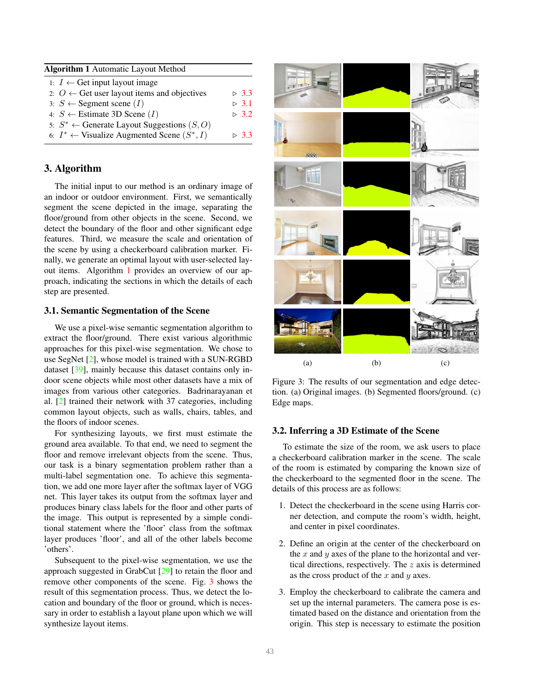<span id="page-2-5"></span><span id="page-2-3"></span>

| <b>Algorithm 1</b> Automatic Layout Method               |         |
|----------------------------------------------------------|---------|
| 1: <i>I</i> ← Get input layout image                     |         |
| 2: $O \leftarrow$ Get user layout items and objectives   | > 3.3   |
| 3: $S \leftarrow$ Segment scene ( <i>I</i> )             | $>$ 3.1 |
| 4: $S \leftarrow$ Estimate 3D Scene ( <i>I</i> )         | > 3.2   |
| 5: $S^* \leftarrow$ Generate Layout Suggestions $(S, O)$ |         |
| 6: $I^* \leftarrow$ Visualize Augmented Scene $(S^*, I)$ | > 3.3   |

# <span id="page-2-0"></span>3. Algorithm

The initial input to our method is an ordinary image of an indoor or outdoor environment. First, we semantically segment the scene depicted in the image, separating the floor/ground from other objects in the scene. Second, we detect the boundary of the floor and other significant edge features. Third, we measure the scale and orientation of the scene by using a checkerboard calibration marker. Finally, we generate an optimal layout with user-selected layout items. Algorithm [1](#page-2-3) provides an overview of our approach, indicating the sections in which the details of each step are presented.

# <span id="page-2-1"></span>3.1. Semantic Segmentation of the Scene

We use a pixel-wise semantic segmentation algorithm to extract the floor/ground. There exist various algorithmic approaches for this pixel-wise segmentation. We chose to use SegNet [\[2\]](#page-4-5), whose model is trained with a SUN-RGBD dataset [\[39\]](#page-6-21), mainly because this dataset contains only indoor scene objects while most other datasets have a mix of images from various other categories. Badrinarayanan et al. [\[2\]](#page-4-5) trained their network with 37 categories, including common layout objects, such as walls, chairs, tables, and the floors of indoor scenes.

For synthesizing layouts, we first must estimate the ground area available. To that end, we need to segment the floor and remove irrelevant objects from the scene. Thus, our task is a binary segmentation problem rather than a multi-label segmentation one. To achieve this segmentation, we add one more layer after the softmax layer of VGG net. This layer takes its output from the softmax layer and produces binary class labels for the floor and other parts of the image. This output is represented by a simple conditional statement where the 'floor' class from the softmax layer produces 'floor', and all of the other labels become 'others'.

Subsequent to the pixel-wise segmentation, we use the approach suggested in GrabCut [\[29\]](#page-6-22) to retain the floor and remove other components of the scene. Fig. [3](#page-2-4) shows the result of this segmentation process. Thus, we detect the location and boundary of the floor or ground, which is necessary in order to establish a layout plane upon which we will synthesize layout items.

<span id="page-2-4"></span>

Figure 3: The results of our segmentation and edge detection. (a) Original images. (b) Segmented floors/ground. (c) Edge maps.

## <span id="page-2-2"></span>3.2. Inferring a 3D Estimate of the Scene

To estimate the size of the room, we ask users to place a checkerboard calibration marker in the scene. The scale of the room is estimated by comparing the known size of the checkerboard to the segmented floor in the scene. The details of this process are as follows:

- 1. Detect the checkerboard in the scene using Harris corner detection, and compute the room's width, height, and center in pixel coordinates.
- 2. Define an origin at the center of the checkerboard on the  $x$  and  $y$  axes of the plane to the horizontal and vertical directions, respectively. The z axis is determined as the cross product of the  $x$  and  $y$  axes.
- 3. Employ the checkerboard to calibrate the camera and set up the internal parameters. The camera pose is estimated based on the distance and orientation from the origin. This step is necessary to estimate the position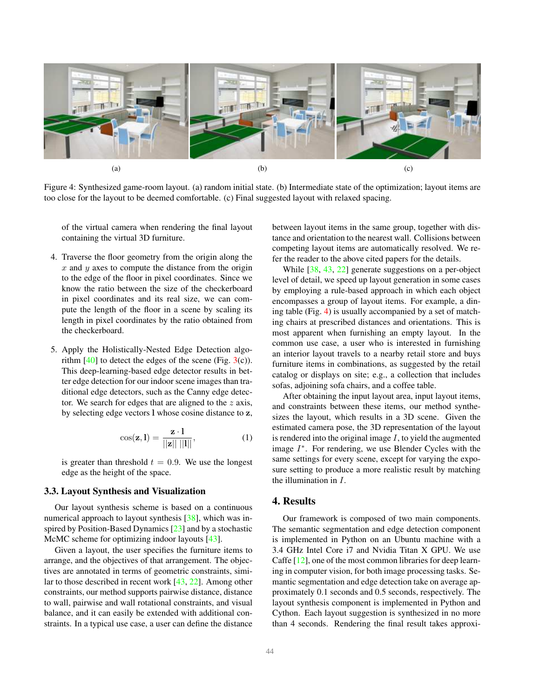<span id="page-3-3"></span><span id="page-3-2"></span>

Figure 4: Synthesized game-room layout. (a) random initial state. (b) Intermediate state of the optimization; layout items are too close for the layout to be deemed comfortable. (c) Final suggested layout with relaxed spacing.

of the virtual camera when rendering the final layout containing the virtual 3D furniture.

- 4. Traverse the floor geometry from the origin along the  $x$  and  $y$  axes to compute the distance from the origin to the edge of the floor in pixel coordinates. Since we know the ratio between the size of the checkerboard in pixel coordinates and its real size, we can compute the length of the floor in a scene by scaling its length in pixel coordinates by the ratio obtained from the checkerboard.
- 5. Apply the Holistically-Nested Edge Detection algorithm  $[40]$  to detect the edges of the scene (Fig.  $3(c)$  $3(c)$ ). This deep-learning-based edge detector results in better edge detection for our indoor scene images than traditional edge detectors, such as the Canny edge detector. We search for edges that are aligned to the  $z$  axis, by selecting edge vectors l whose cosine distance to z,

$$
\cos(\mathbf{z}, \mathbf{l}) = \frac{\mathbf{z} \cdot \mathbf{l}}{||\mathbf{z}|| \, ||\mathbf{l}||},\tag{1}
$$

is greater than threshold  $t = 0.9$ . We use the longest edge as the height of the space.

#### <span id="page-3-1"></span>3.3. Layout Synthesis and Visualization

Our layout synthesis scheme is based on a continuous numerical approach to layout synthesis [\[38\]](#page-6-12), which was inspired by Position-Based Dynamics [\[23\]](#page-6-24) and by a stochastic McMC scheme for optimizing indoor layouts [\[43\]](#page-6-10).

Given a layout, the user specifies the furniture items to arrange, and the objectives of that arrangement. The objectives are annotated in terms of geometric constraints, similar to those described in recent work [\[43,](#page-6-10) [22\]](#page-6-9). Among other constraints, our method supports pairwise distance, distance to wall, pairwise and wall rotational constraints, and visual balance, and it can easily be extended with additional constraints. In a typical use case, a user can define the distance between layout items in the same group, together with distance and orientation to the nearest wall. Collisions between competing layout items are automatically resolved. We refer the reader to the above cited papers for the details.

While [\[38,](#page-6-12) [43,](#page-6-10) [22\]](#page-6-9) generate suggestions on a per-object level of detail, we speed up layout generation in some cases by employing a rule-based approach in which each object encompasses a group of layout items. For example, a dining table (Fig. [4\)](#page-3-2) is usually accompanied by a set of matching chairs at prescribed distances and orientations. This is most apparent when furnishing an empty layout. In the common use case, a user who is interested in furnishing an interior layout travels to a nearby retail store and buys furniture items in combinations, as suggested by the retail catalog or displays on site; e.g., a collection that includes sofas, adjoining sofa chairs, and a coffee table.

After obtaining the input layout area, input layout items, and constraints between these items, our method synthesizes the layout, which results in a 3D scene. Given the estimated camera pose, the 3D representation of the layout is rendered into the original image  $I$ , to yield the augmented image  $I^*$ . For rendering, we use Blender Cycles with the same settings for every scene, except for varying the exposure setting to produce a more realistic result by matching the illumination in I.

# <span id="page-3-0"></span>4. Results

Our framework is composed of two main components. The semantic segmentation and edge detection component is implemented in Python on an Ubuntu machine with a 3.4 GHz Intel Core i7 and Nvidia Titan X GPU. We use Caffe [\[12\]](#page-5-10), one of the most common libraries for deep learning in computer vision, for both image processing tasks. Semantic segmentation and edge detection take on average approximately 0.1 seconds and 0.5 seconds, respectively. The layout synthesis component is implemented in Python and Cython. Each layout suggestion is synthesized in no more than 4 seconds. Rendering the final result takes approxi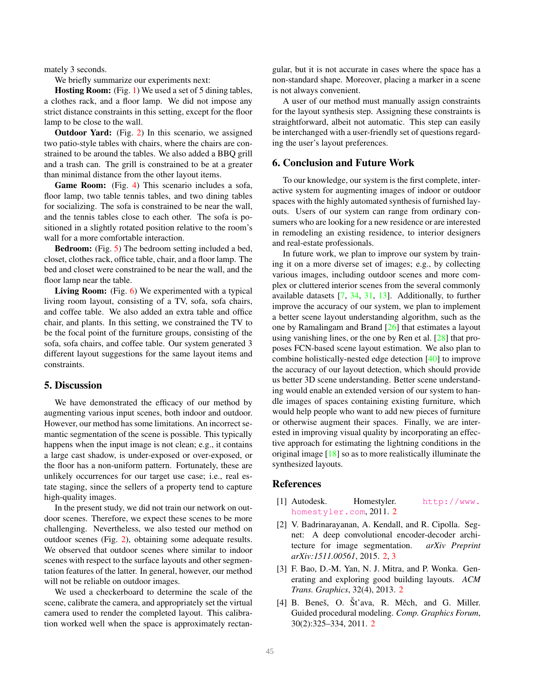<span id="page-4-6"></span>mately 3 seconds.

We briefly summarize our experiments next:

Hosting Room: (Fig. [1\)](#page-0-1) We used a set of 5 dining tables, a clothes rack, and a floor lamp. We did not impose any strict distance constraints in this setting, except for the floor lamp to be close to the wall.

Outdoor Yard: (Fig. [2\)](#page-1-0) In this scenario, we assigned two patio-style tables with chairs, where the chairs are constrained to be around the tables. We also added a BBQ grill and a trash can. The grill is constrained to be at a greater than minimal distance from the other layout items.

Game Room: (Fig. [4\)](#page-3-2) This scenario includes a sofa, floor lamp, two table tennis tables, and two dining tables for socializing. The sofa is constrained to be near the wall, and the tennis tables close to each other. The sofa is positioned in a slightly rotated position relative to the room's wall for a more comfortable interaction.

Bedroom: (Fig. [5\)](#page-5-11) The bedroom setting included a bed, closet, clothes rack, office table, chair, and a floor lamp. The bed and closet were constrained to be near the wall, and the floor lamp near the table.

Living Room: (Fig. [6\)](#page-5-12) We experimented with a typical living room layout, consisting of a TV, sofa, sofa chairs, and coffee table. We also added an extra table and office chair, and plants. In this setting, we constrained the TV to be the focal point of the furniture groups, consisting of the sofa, sofa chairs, and coffee table. Our system generated 3 different layout suggestions for the same layout items and constraints.

## <span id="page-4-0"></span>5. Discussion

We have demonstrated the efficacy of our method by augmenting various input scenes, both indoor and outdoor. However, our method has some limitations. An incorrect semantic segmentation of the scene is possible. This typically happens when the input image is not clean; e.g., it contains a large cast shadow, is under-exposed or over-exposed, or the floor has a non-uniform pattern. Fortunately, these are unlikely occurrences for our target use case; i.e., real estate staging, since the sellers of a property tend to capture high-quality images.

In the present study, we did not train our network on outdoor scenes. Therefore, we expect these scenes to be more challenging. Nevertheless, we also tested our method on outdoor scenes (Fig. [2\)](#page-1-0), obtaining some adequate results. We observed that outdoor scenes where similar to indoor scenes with respect to the surface layouts and other segmentation features of the latter. In general, however, our method will not be reliable on outdoor images.

We used a checkerboard to determine the scale of the scene, calibrate the camera, and appropriately set the virtual camera used to render the completed layout. This calibration worked well when the space is approximately rectangular, but it is not accurate in cases where the space has a non-standard shape. Moreover, placing a marker in a scene is not always convenient.

A user of our method must manually assign constraints for the layout synthesis step. Assigning these constraints is straightforward, albeit not automatic. This step can easily be interchanged with a user-friendly set of questions regarding the user's layout preferences.

# <span id="page-4-1"></span>6. Conclusion and Future Work

To our knowledge, our system is the first complete, interactive system for augmenting images of indoor or outdoor spaces with the highly automated synthesis of furnished layouts. Users of our system can range from ordinary consumers who are looking for a new residence or are interested in remodeling an existing residence, to interior designers and real-estate professionals.

In future work, we plan to improve our system by training it on a more diverse set of images; e.g., by collecting various images, including outdoor scenes and more complex or cluttered interior scenes from the several commonly available datasets [\[7,](#page-5-13) [34,](#page-6-25) [31,](#page-6-26) [13\]](#page-5-1). Additionally, to further improve the accuracy of our system, we plan to implement a better scene layout understanding algorithm, such as the one by Ramalingam and Brand [\[26\]](#page-6-16) that estimates a layout using vanishing lines, or the one by Ren et al. [\[28\]](#page-6-27) that proposes FCN-based scene layout estimation. We also plan to combine holistically-nested edge detection [\[40\]](#page-6-23) to improve the accuracy of our layout detection, which should provide us better 3D scene understanding. Better scene understanding would enable an extended version of our system to handle images of spaces containing existing furniture, which would help people who want to add new pieces of furniture or otherwise augment their spaces. Finally, we are interested in improving visual quality by incorporating an effective approach for estimating the lightning conditions in the original image [\[18\]](#page-6-28) so as to more realistically illuminate the synthesized layouts.

# References

- <span id="page-4-4"></span>[1] Autodesk. Homestyler. [http://www.](http://www.homestyler.com) [homestyler.com](http://www.homestyler.com), 2011. [2](#page-1-1)
- <span id="page-4-5"></span>[2] V. Badrinarayanan, A. Kendall, and R. Cipolla. Segnet: A deep convolutional encoder-decoder architecture for image segmentation. *arXiv Preprint arXiv:1511.00561*, 2015. [2,](#page-1-1) [3](#page-2-5)
- <span id="page-4-3"></span>[3] F. Bao, D.-M. Yan, N. J. Mitra, and P. Wonka. Generating and exploring good building layouts. *ACM Trans. Graphics*, 32(4), 2013. [2](#page-1-1)
- <span id="page-4-2"></span>[4] B. Beneš, O. Št'ava, R. Měch, and G. Miller. Guided procedural modeling. *Comp. Graphics Forum*, 30(2):325–334, 2011. [2](#page-1-1)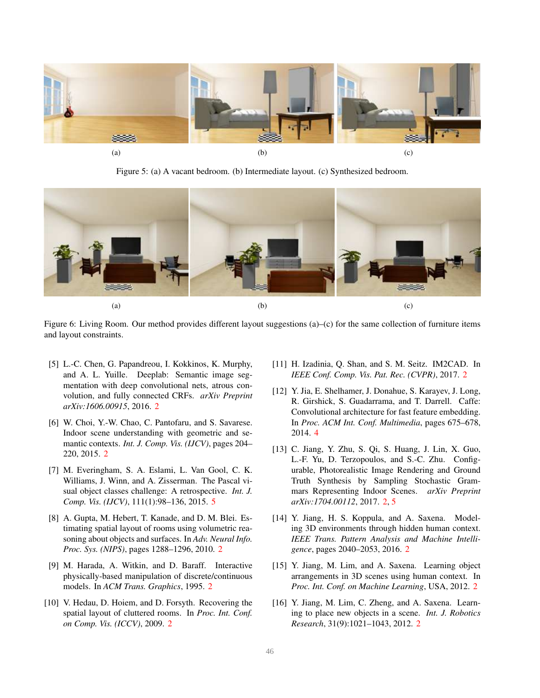<span id="page-5-11"></span>

Figure 5: (a) A vacant bedroom. (b) Intermediate layout. (c) Synthesized bedroom.

<span id="page-5-12"></span>

Figure 6: Living Room. Our method provides different layout suggestions (a)–(c) for the same collection of furniture items and layout constraints.

- <span id="page-5-9"></span>[5] L.-C. Chen, G. Papandreou, I. Kokkinos, K. Murphy, and A. L. Yuille. Deeplab: Semantic image segmentation with deep convolutional nets, atrous convolution, and fully connected CRFs. *arXiv Preprint arXiv:1606.00915*, 2016. [2](#page-1-1)
- <span id="page-5-6"></span>[6] W. Choi, Y.-W. Chao, C. Pantofaru, and S. Savarese. Indoor scene understanding with geometric and semantic contexts. *Int. J. Comp. Vis. (IJCV)*, pages 204– 220, 2015. [2](#page-1-1)
- <span id="page-5-13"></span>[7] M. Everingham, S. A. Eslami, L. Van Gool, C. K. Williams, J. Winn, and A. Zisserman. The Pascal visual object classes challenge: A retrospective. *Int. J. Comp. Vis. (IJCV)*, 111(1):98–136, 2015. [5](#page-4-6)
- <span id="page-5-3"></span>[8] A. Gupta, M. Hebert, T. Kanade, and D. M. Blei. Estimating spatial layout of rooms using volumetric reasoning about objects and surfaces. In *Adv. Neural Info. Proc. Sys. (NIPS)*, pages 1288–1296, 2010. [2](#page-1-1)
- <span id="page-5-0"></span>[9] M. Harada, A. Witkin, and D. Baraff. Interactive physically-based manipulation of discrete/continuous models. In *ACM Trans. Graphics*, 1995. [2](#page-1-1)
- <span id="page-5-2"></span>[10] V. Hedau, D. Hoiem, and D. Forsyth. Recovering the spatial layout of cluttered rooms. In *Proc. Int. Conf. on Comp. Vis. (ICCV)*, 2009. [2](#page-1-1)
- <span id="page-5-8"></span>[11] H. Izadinia, Q. Shan, and S. M. Seitz. IM2CAD. In *IEEE Conf. Comp. Vis. Pat. Rec. (CVPR)*, 2017. [2](#page-1-1)
- <span id="page-5-10"></span>[12] Y. Jia, E. Shelhamer, J. Donahue, S. Karayev, J. Long, R. Girshick, S. Guadarrama, and T. Darrell. Caffe: Convolutional architecture for fast feature embedding. In *Proc. ACM Int. Conf. Multimedia*, pages 675–678, 2014. [4](#page-3-3)
- <span id="page-5-1"></span>[13] C. Jiang, Y. Zhu, S. Qi, S. Huang, J. Lin, X. Guo, L.-F. Yu, D. Terzopoulos, and S.-C. Zhu. Configurable, Photorealistic Image Rendering and Ground Truth Synthesis by Sampling Stochastic Grammars Representing Indoor Scenes. *arXiv Preprint arXiv:1704.00112*, 2017. [2,](#page-1-1) [5](#page-4-6)
- <span id="page-5-7"></span>[14] Y. Jiang, H. S. Koppula, and A. Saxena. Modeling 3D environments through hidden human context. *IEEE Trans. Pattern Analysis and Machine Intelligence*, pages 2040–2053, 2016. [2](#page-1-1)
- <span id="page-5-4"></span>[15] Y. Jiang, M. Lim, and A. Saxena. Learning object arrangements in 3D scenes using human context. In *Proc. Int. Conf. on Machine Learning*, USA, 2012. [2](#page-1-1)
- <span id="page-5-5"></span>[16] Y. Jiang, M. Lim, C. Zheng, and A. Saxena. Learning to place new objects in a scene. *Int. J. Robotics Research*, 31(9):1021–1043, 2012. [2](#page-1-1)